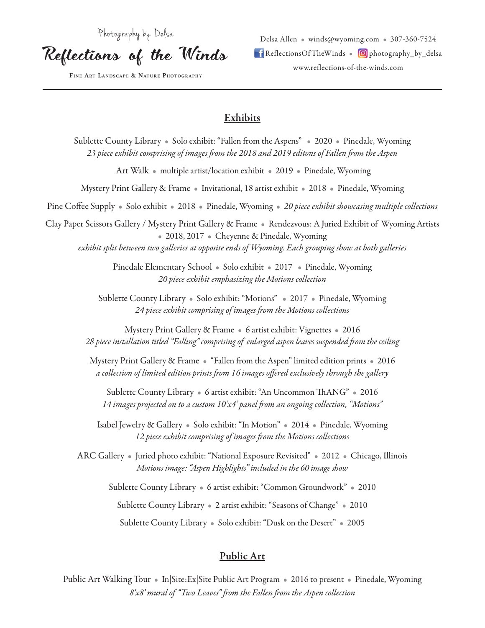Photography by Delsa

Reflections of the Winds

**Fine Art Landscape & Nature Photography**

Delsa Allen • winds@wyoming.com • 307-360-7524  $\blacksquare$  ReflectionsOf TheWinds  $\blacksquare$  photography\_by\_delsa www.reflections-of-the-winds.com

### **Exhibits**

Sublette County Library • Solo exhibit: "Fallen from the Aspens" • 2020 • Pinedale, Wyoming *23 piece exhibit comprising of images from the 2018 and 2019 editons of Fallen from the Aspen* Art Walk • multiple artist/location exhibit • 2019 • Pinedale, Wyoming Mystery Print Gallery & Frame • Invitational, 18 artist exhibit • 2018 • Pinedale, Wyoming Pine Coffee Supply • Solo exhibit • 2018 • Pinedale, Wyoming • *20 piece exhibit showcasing multiple collections* Clay Paper Scissors Gallery / Mystery Print Gallery & Frame • Rendezvous: A Juried Exhibit of Wyoming Artists • 2018, 2017 • Cheyenne & Pinedale, Wyoming *exhibit split between two galleries at opposite ends of Wyoming. Each grouping show at both galleries* Pinedale Elementary School • Solo exhibit • 2017 • Pinedale, Wyoming *20 piece exhibit emphasizing the Motions collection* Sublette County Library • Solo exhibit: "Motions" • 2017 • Pinedale, Wyoming *24 piece exhibit comprising of images from the Motions collections* Mystery Print Gallery & Frame • 6 artist exhibit: Vignettes • 2016 *28 piece installation titled "Falling" comprising of enlarged aspen leaves suspended from the ceiling*  Mystery Print Gallery & Frame • "Fallen from the Aspen" limited edition prints • 2016 *a collection of limited edition prints from 16 images offered exclusively through the gallery* Sublette County Library • 6 artist exhibit: "An Uncommon ThANG" • 2016 *14 images projected on to a custom 10'x4' panel from an ongoing collection, "Motions"* Isabel Jewelry & Gallery • Solo exhibit: "In Motion" • 2014 • Pinedale, Wyoming *12 piece exhibit comprising of images from the Motions collections* ARC Gallery • Juried photo exhibit: "National Exposure Revisited" • 2012 • Chicago, Illinois *Motions image: "Aspen Highlights" included in the 60 image show* Sublette County Library • 6 artist exhibit: "Common Groundwork" • 2010 Sublette County Library • 2 artist exhibit: "Seasons of Change" • 2010 Sublette County Library • Solo exhibit: "Dusk on the Desert" • 2005

# Public Art

Public Art Walking Tour • In|Site:Ex|Site Public Art Program • 2016 to present • Pinedale, Wyoming *8'x8' mural of "Two Leaves" from the Fallen from the Aspen collection*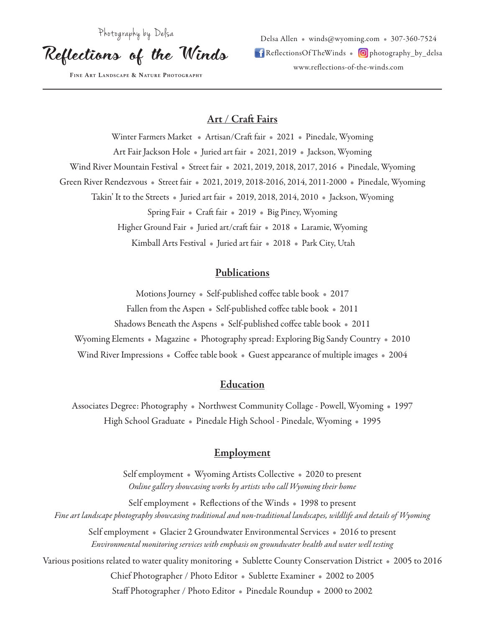Photography by Delsa

Reflections of the Winds

**Fine Art Landscape & Nature Photography**

Delsa Allen • winds@wyoming.com • 307-360-7524  $\blacksquare$  ReflectionsOf TheWinds  $\blacksquare$  photography\_by\_delsa www.reflections-of-the-winds.com

#### Art / Craft Fairs

Winter Farmers Market • Artisan/Craft fair • 2021 • Pinedale, Wyoming Art Fair Jackson Hole • Juried art fair • 2021, 2019 • Jackson, Wyoming Wind River Mountain Festival • Street fair • 2021, 2019, 2018, 2017, 2016 • Pinedale, Wyoming Green River Rendezvous • Street fair • 2021, 2019, 2018-2016, 2014, 2011-2000 • Pinedale, Wyoming Takin' It to the Streets • Juried art fair • 2019, 2018, 2014, 2010 • Jackson, Wyoming Spring Fair • Craft fair • 2019 • Big Piney, Wyoming Higher Ground Fair • Juried art/craft fair • 2018 • Laramie, Wyoming Kimball Arts Festival • Juried art fair • 2018 • Park City, Utah

### **Publications**

Motions Journey • Self-published coffee table book • 2017 Fallen from the Aspen • Self-published coffee table book • 2011 Shadows Beneath the Aspens • Self-published coffee table book • 2011 Wyoming Elements • Magazine • Photography spread: Exploring Big Sandy Country • 2010 Wind River Impressions • Coffee table book • Guest appearance of multiple images • 2004

#### Education

Associates Degree: Photography • Northwest Community Collage - Powell, Wyoming • 1997 High School Graduate • Pinedale High School - Pinedale, Wyoming • 1995

#### **Employment**

Self employment • Wyoming Artists Collective • 2020 to present *Online gallery showcasing works by artists who call Wyoming their home*

Self employment • Reflections of the Winds • 1998 to present *Fine art landscape photography showcasing traditional and non-traditional landscapes, wildlife and details of Wyoming*

Self employment • Glacier 2 Groundwater Environmental Services • 2016 to present *Environmental monitoring services with emphasis on groundwater health and water well testing*

Various positions related to water quality monitoring • Sublette County Conservation District • 2005 to 2016 Chief Photographer / Photo Editor • Sublette Examiner • 2002 to 2005 Staff Photographer / Photo Editor • Pinedale Roundup • 2000 to 2002